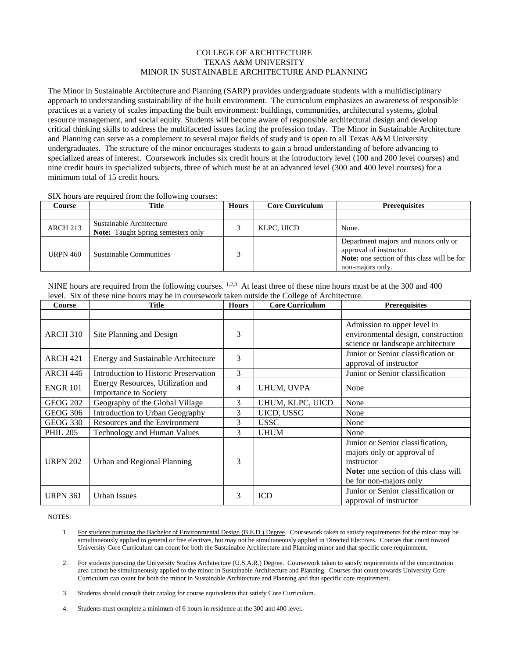## COLLEGE OF ARCHITECTURE TEXAS A&M UNIVERSITY MINOR IN SUSTAINABLE ARCHITECTURE AND PLANNING

The Minor in Sustainable Architecture and Planning (SARP) provides undergraduate students with a multidisciplinary approach to understanding sustainability of the built environment. The curriculum emphasizes an awareness of responsible practices at a variety of scales impacting the built environment: buildings, communities, architectural systems, global resource management, and social equity. Students will become aware of responsible architectural design and develop critical thinking skills to address the multifaceted issues facing the profession today. The Minor in Sustainable Architecture and Planning can serve as a complement to several major fields of study and is open to all Texas A&M University undergraduates. The structure of the minor encourages students to gain a broad understanding of before advancing to specialized areas of interest. Coursework includes six credit hours at the introductory level (100 and 200 level courses) and nine credit hours in specialized subjects, three of which must be at an advanced level (300 and 400 level courses) for a minimum total of 15 credit hours.

SIX hours are required from the following courses:

| Course          | Title                                                                 | <b>Hours</b> | <b>Core Curriculum</b> | <b>Prerequisites</b>                                                                                                                      |
|-----------------|-----------------------------------------------------------------------|--------------|------------------------|-------------------------------------------------------------------------------------------------------------------------------------------|
|                 |                                                                       |              |                        |                                                                                                                                           |
| <b>ARCH 213</b> | Sustainable Architecture<br><b>Note:</b> Taught Spring semesters only |              | KLPC, UICD             | None.                                                                                                                                     |
| <b>URPN 460</b> | Sustainable Communities                                               |              |                        | Department majors and minors only or<br>approval of instructor.<br><b>Note:</b> one section of this class will be for<br>non-majors only. |

NINE hours are required from the following courses.  $1,2,3$  At least three of these nine hours must be at the 300 and 400 level. Six of these nine hours may be in coursework taken outside the College of Architecture.

| Course          | <b>Title</b>                                                      | <b>Hours</b>   | <b>Core Curriculum</b> | <b>Prerequisites</b>                                                                                                                                  |
|-----------------|-------------------------------------------------------------------|----------------|------------------------|-------------------------------------------------------------------------------------------------------------------------------------------------------|
|                 |                                                                   |                |                        |                                                                                                                                                       |
| <b>ARCH 310</b> | Site Planning and Design                                          | 3              |                        | Admission to upper level in<br>environmental design, construction<br>science or landscape architecture                                                |
| <b>ARCH 421</b> | <b>Energy and Sustainable Architecture</b>                        | 3              |                        | Junior or Senior classification or<br>approval of instructor                                                                                          |
| <b>ARCH 446</b> | Introduction to Historic Preservation                             | 3              |                        | Junior or Senior classification                                                                                                                       |
| <b>ENGR 101</b> | Energy Resources, Utilization and<br><b>Importance to Society</b> | $\overline{4}$ | UHUM, UVPA             | None                                                                                                                                                  |
| <b>GEOG 202</b> | Geography of the Global Village                                   | 3              | UHUM, KLPC, UICD       | None                                                                                                                                                  |
| <b>GEOG 306</b> | Introduction to Urban Geography                                   | 3              | UICD, USSC             | None                                                                                                                                                  |
| <b>GEOG 330</b> | Resources and the Environment                                     | 3              | <b>USSC</b>            | None                                                                                                                                                  |
| <b>PHIL 205</b> | Technology and Human Values                                       | 3              | <b>UHUM</b>            | None                                                                                                                                                  |
| <b>URPN 202</b> | Urban and Regional Planning                                       | 3              |                        | Junior or Senior classification,<br>majors only or approval of<br>instructor<br><b>Note:</b> one section of this class will<br>be for non-majors only |
| <b>URPN 361</b> | <b>Urban Issues</b>                                               | 3              | <b>ICD</b>             | Junior or Senior classification or<br>approval of instructor                                                                                          |

NOTES:

- 1. For students pursuing the Bachelor of Environmental Design (B.E.D.) Degree. Coursework taken to satisfy requirements for the minor may be simultaneously applied to general or free electives, but may not be simultaneously applied in Directed Electives. Courses that count toward University Core Curriculum can count for both the Sustainable Architecture and Planning minor and that specific core requirement.
- 2. For students pursuing the University Studies Architecture (U.S.A.R.) Degree. Coursework taken to satisfy requirements of the concentration area cannot be simultaneously applied to the minor in Sustainable Architecture and Planning. Courses that count towards University Core Curriculum can count for both the minor in Sustainable Architecture and Planning and that specific core requirement.
- 3. Students should consult their catalog for course equivalents that satisfy Core Curriculum.
- 4. Students must complete a minimum of 6 hours in residence at the 300 and 400 level.